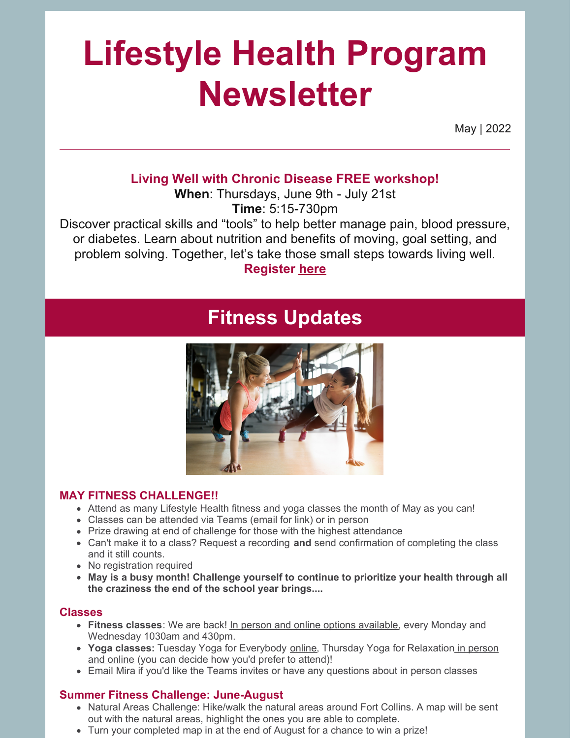# **Lifestyle Health Program Newsletter**

May | 2022

#### **Living Well with Chronic Disease FREE workshop!**

**When**: Thursdays, June 9th - July 21st **Time**: 5:15-730pm

Discover practical skills and "tools" to help better manage pain, blood pressure, or diabetes. Learn about nutrition and benefits of moving, goal setting, and problem solving. Together, let's take those small steps towards living well.

**Register [here](https://forms.office.com/r/UWX1eC7LT8)**

## **Fitness Updates**



#### **MAY FITNESS CHALLENGE!!**

- Attend as many Lifestyle Health fitness and yoga classes the month of May as you can!
- Classes can be attended via Teams (email for link) or in person
- Prize drawing at end of challenge for those with the highest attendance
- Can't make it to a class? Request a recording **and** send confirmation of completing the class and it still counts.
- No registration required
- **May is a busy month! Challenge yourself to continue to prioritize your health through all the craziness the end of the school year brings....**

#### **Classes**

- **Fitness classes**: We are back! In person and online options available, every Monday and Wednesday 1030am and 430pm.
- **Yoga classes:** Tuesday Yoga for Everybody online, Thursday Yoga for Relaxation in person and online (you can decide how you'd prefer to attend)!
- Email Mira if you'd like the Teams invites or have any questions about in person classes

#### **Summer Fitness Challenge: June-August**

- Natural Areas Challenge: Hike/walk the natural areas around Fort Collins. A map will be sent out with the natural areas, highlight the ones you are able to complete.
- Turn your completed map in at the end of August for a chance to win a prize!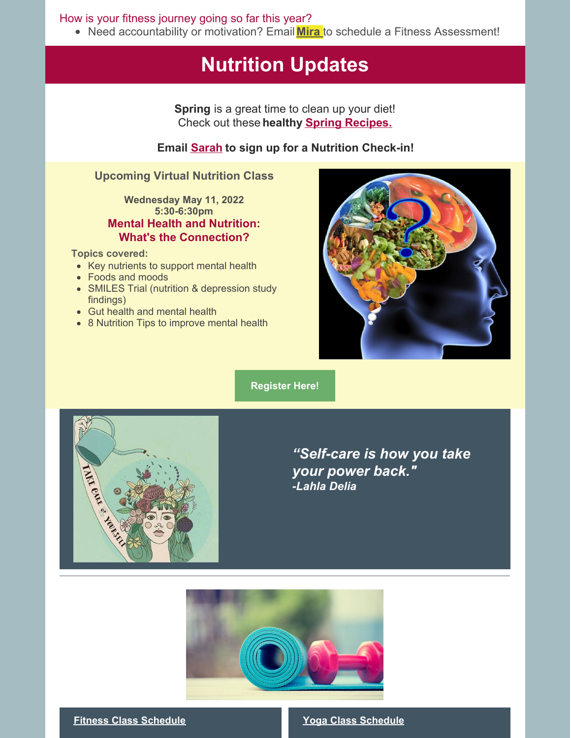How is your fitness journey going so far this year?

• Need accountability or motivation? Email **[Mira](mailto:mirabai.nesbitt@uchealth.org)** to schedule a Fitness Assessment!

## **Nutrition Updates**

**Spring** is a great time to clean up your diet! Check out these **healthy Spring [Recipes.](https://www.tasteofhome.com/collection/healthy-spring-recipes/)**

#### **Email [Sarah](mailto:sarah.morales@uchealth.org) to sign up for a Nutrition Check-in!**

#### **Upcoming Virtual Nutrition Class**

#### **Wednesday May 11, 2022 5:30-6:30pm Mental Health and Nutrition: What's the Connection?**

#### **Topics covered:**

- Key nutrients to support mental health
- Foods and moods
- SMILES Trial (nutrition & depression study findings)
- Gut health and mental health
- 8 Nutrition Tips to improve mental health



**[Register](https://forms.office.com/Pages/ResponsePage.aspx?id=XOYJ9QuOLUeycG7Um4Mp3TJiON601RJEt4ETH12ghwZURjJTMk1ZMFBDNEJYQ0VOVVFZOE1XUlBGNCQlQCN0PWcu) Here!**



*"Self-care is how you take your power back." -Lahla Delia*



#### **Fitness Class Schedule Yoga Class Schedule**